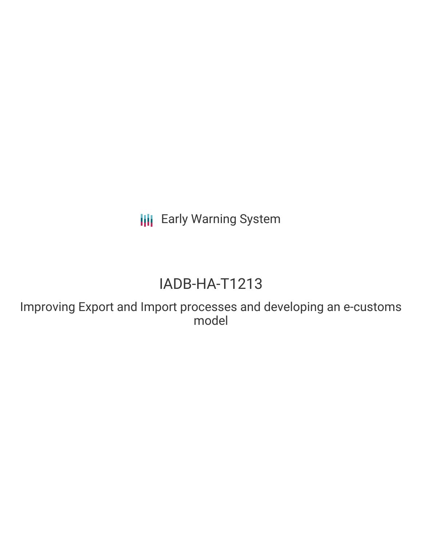**III** Early Warning System

# IADB-HA-T1213

Improving Export and Import processes and developing an e-customs model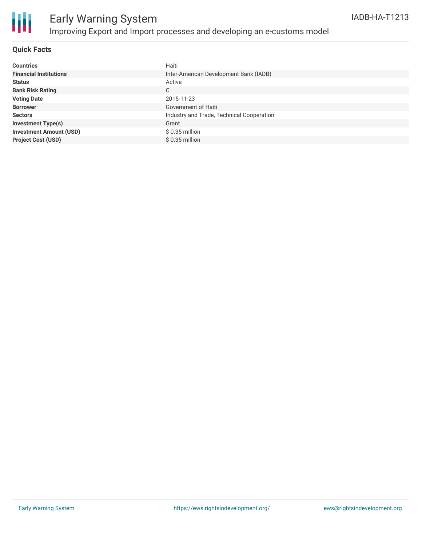

## Early Warning System Improving Export and Import processes and developing an e-customs model

#### **Quick Facts**

| <b>Countries</b>               | Haiti                                     |
|--------------------------------|-------------------------------------------|
| <b>Financial Institutions</b>  | Inter-American Development Bank (IADB)    |
| <b>Status</b>                  | Active                                    |
| <b>Bank Risk Rating</b>        | C                                         |
| <b>Voting Date</b>             | 2015-11-23                                |
| <b>Borrower</b>                | Government of Haiti                       |
| <b>Sectors</b>                 | Industry and Trade, Technical Cooperation |
| <b>Investment Type(s)</b>      | Grant                                     |
| <b>Investment Amount (USD)</b> | $$0.35$ million                           |
| <b>Project Cost (USD)</b>      | $$0.35$ million                           |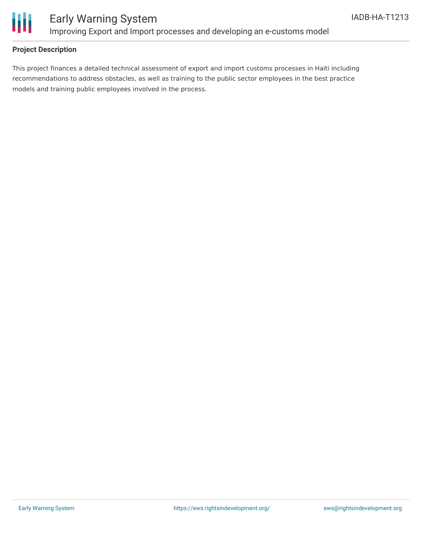

### **Project Description**

This project finances a detailed technical assessment of export and import customs processes in Haiti including recommendations to address obstacles, as well as training to the public sector employees in the best practice models and training public employees involved in the process.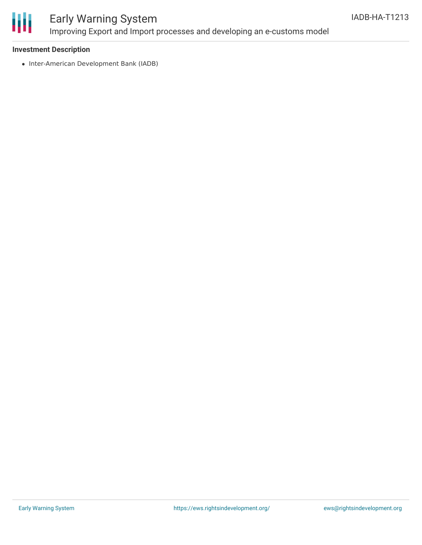

## Early Warning System Improving Export and Import processes and developing an e-customs model

#### **Investment Description**

• Inter-American Development Bank (IADB)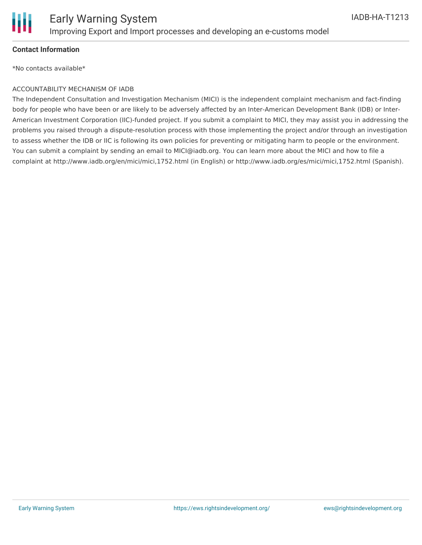

### **Contact Information**

\*No contacts available\*

#### ACCOUNTABILITY MECHANISM OF IADB

The Independent Consultation and Investigation Mechanism (MICI) is the independent complaint mechanism and fact-finding body for people who have been or are likely to be adversely affected by an Inter-American Development Bank (IDB) or Inter-American Investment Corporation (IIC)-funded project. If you submit a complaint to MICI, they may assist you in addressing the problems you raised through a dispute-resolution process with those implementing the project and/or through an investigation to assess whether the IDB or IIC is following its own policies for preventing or mitigating harm to people or the environment. You can submit a complaint by sending an email to MICI@iadb.org. You can learn more about the MICI and how to file a complaint at http://www.iadb.org/en/mici/mici,1752.html (in English) or http://www.iadb.org/es/mici/mici,1752.html (Spanish).